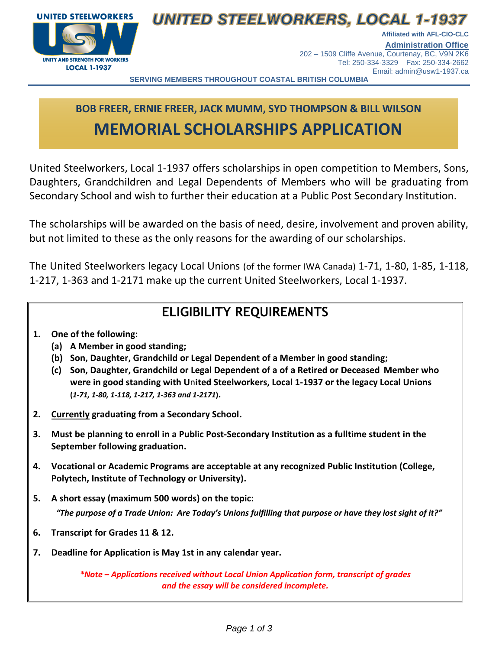

## **UNITED STEELWORKERS, LOCAL 1-1937**

**Affiliated with AFL-CIO-CLC Administration Office** 202 – 1509 Cliffe Avenue, Courtenay, BC, V9N 2K6 Tel: 250-334-3329 Fax: 250-334-2662

Email: admin@usw1-1937.ca

**SERVING MEMBERS THROUGHOUT COASTAL BRITISH COLUMBIA**

# **BOB FREER, ERNIE FREER, JACK MUMM, SYD THOMPSON & BILL WILSON MEMORIAL SCHOLARSHIPS APPLICATION**

United Steelworkers, Local 1-1937 offers scholarships in open competition to Members, Sons, Daughters, Grandchildren and Legal Dependents of Members who will be graduating from Secondary School and wish to further their education at a Public Post Secondary Institution.

The scholarships will be awarded on the basis of need, desire, involvement and proven ability, but not limited to these as the only reasons for the awarding of our scholarships.

The United Steelworkers legacy Local Unions (of the former IWA Canada) 1-71, 1-80, 1-85, 1-118, 1-217, 1-363 and 1-2171 make up the current United Steelworkers, Local 1-1937.

### **ELIGIBILITY REQUIREMENTS**

- **1. One of the following:**
	- **(a) A Member in good standing;**
	- **(b) Son, Daughter, Grandchild or Legal Dependent of a Member in good standing;**
	- **(c) Son, Daughter, Grandchild or Legal Dependent of a of a Retired or Deceased Member who were in good standing with U**n**ited Steelworkers, Local 1-1937 or the legacy Local Unions (***1-71, 1-80, 1-118, 1-217, 1-363 and 1-2171***).**
- **2. Currently graduating from a Secondary School.**
- **3. Must be planning to enroll in a Public Post-Secondary Institution as a fulltime student in the September following graduation.**
- **4. Vocational or Academic Programs are acceptable at any recognized Public Institution (College, Polytech, Institute of Technology or University).**
- **5. A short essay (maximum 500 words) on the topic:**  *"The purpose of a Trade Union: Are Today's Unions fulfilling that purpose or have they lost sight of it?"*
- **6. Transcript for Grades 11 & 12.**
- **7. Deadline for Application is May 1st in any calendar year.**

*\*Note – Applications received without Local Union Application form, transcript of grades and the essay will be considered incomplete.*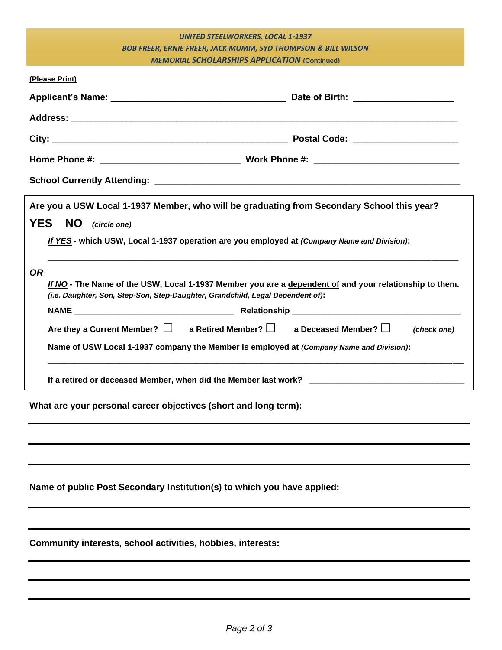|                                                                                             | <b>UNITED STEELWORKERS, LOCAL 1-1937</b>                                                               |
|---------------------------------------------------------------------------------------------|--------------------------------------------------------------------------------------------------------|
|                                                                                             | <b>BOB FREER, ERNIE FREER, JACK MUMM, SYD THOMPSON &amp; BILL WILSON</b>                               |
|                                                                                             | <b>MEMORIAL SCHOLARSHIPS APPLICATION (Continued)</b>                                                   |
| (Please Print)                                                                              |                                                                                                        |
|                                                                                             |                                                                                                        |
|                                                                                             |                                                                                                        |
|                                                                                             |                                                                                                        |
|                                                                                             |                                                                                                        |
|                                                                                             |                                                                                                        |
| <b>YES</b><br>NO (circle one)                                                               | If YES - which USW, Local 1-1937 operation are you employed at (Company Name and Division):            |
| <b>OR</b><br>(i.e. Daughter, Son, Step-Son, Step-Daughter, Grandchild, Legal Dependent of): | If NO - The Name of the USW, Local 1-1937 Member you are a dependent of and your relationship to them. |
|                                                                                             |                                                                                                        |
|                                                                                             | Are they a Current Member? $\Box$ a Retired Member? $\Box$ a Deceased Member? $\Box$<br>(check one)    |
|                                                                                             | Name of USW Local 1-1937 company the Member is employed at (Company Name and Division):                |
|                                                                                             | If a retired or deceased Member, when did the Member last work? _______________________                |
| What are your personal career objectives (short and long term):                             |                                                                                                        |

**Name of public Post Secondary Institution(s) to which you have applied:**

**Community interests, school activities, hobbies, interests:**